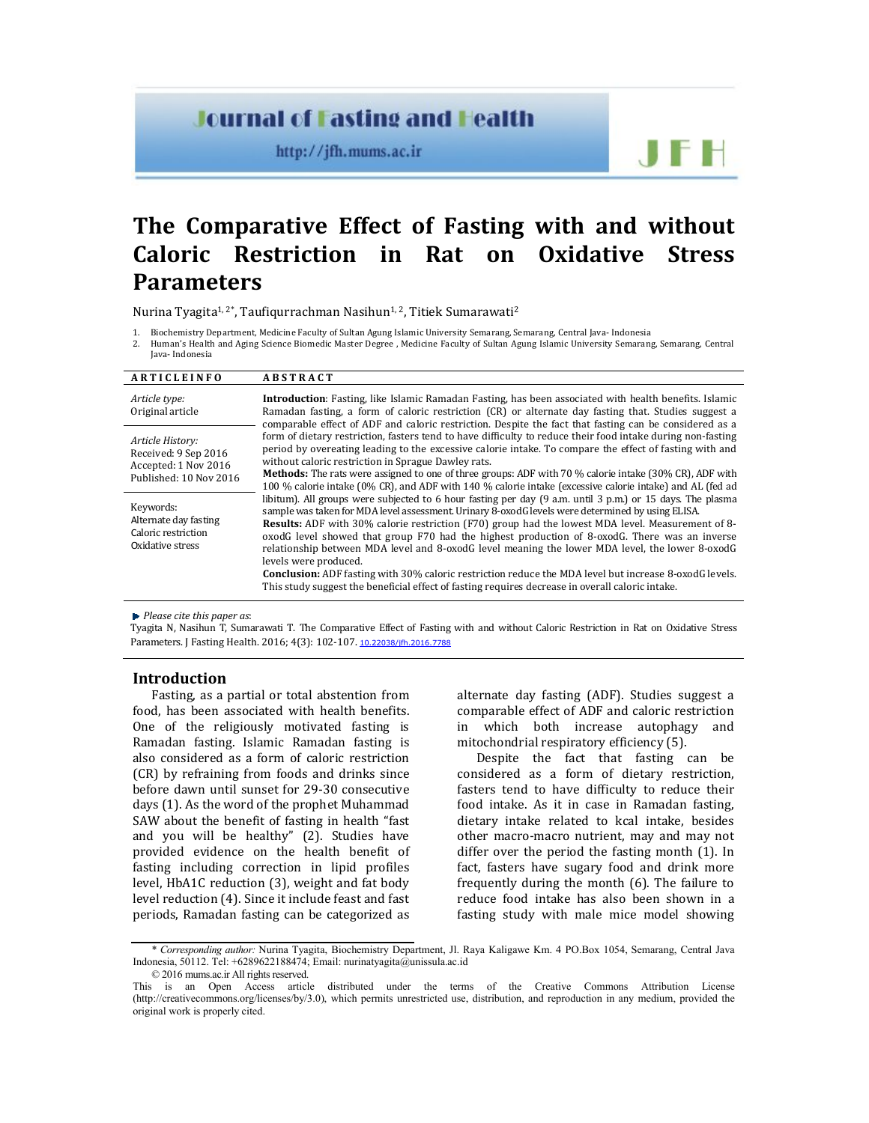# **Journal of Fasting and Health**

http://jfh.mums.ac.ir

JF H

# **The Comparative Effect of Fasting with and without Caloric Restriction in Rat on Oxidative Stress Parameters**

Nurina Tyagita<sup>1, 2\*</sup>, Taufiqurrachman Nasihun<sup>1, 2</sup>, Titiek Sumarawati<sup>2</sup>

1. Biochemistry Department, Medicine Faculty of Sultan Agung Islamic University Semarang, Semarang, Central Java- Indonesia

2. Human's Health and Aging Science Biomedic Master Degree , Medicine Faculty of Sultan Agung Islamic University Semarang, Semarang, Central Java- Indonesia

| ARTICLEINFO                                                                   | <b>ABSTRACT</b>                                                                                                                                                                                                                                                                                                                                                                                                                                                                                                                 |  |  |  |  |
|-------------------------------------------------------------------------------|---------------------------------------------------------------------------------------------------------------------------------------------------------------------------------------------------------------------------------------------------------------------------------------------------------------------------------------------------------------------------------------------------------------------------------------------------------------------------------------------------------------------------------|--|--|--|--|
| Article type:<br>Original article                                             | Introduction: Fasting, like Islamic Ramadan Fasting, has been associated with health benefits. Islamic<br>Ramadan fasting, a form of caloric restriction (CR) or alternate day fasting that. Studies suggest a<br>comparable effect of ADF and caloric restriction. Despite the fact that fasting can be considered as a                                                                                                                                                                                                        |  |  |  |  |
| Article History:<br>Received: 9 Sep 2016<br>Accepted: 1 Nov 2016              | form of dietary restriction, fasters tend to have difficulty to reduce their food intake during non-fasting<br>period by overeating leading to the excessive calorie intake. To compare the effect of fasting with and<br>without caloric restriction in Sprague Dawley rats.                                                                                                                                                                                                                                                   |  |  |  |  |
| Published: 10 Nov 2016                                                        | <b>Methods:</b> The rats were assigned to one of three groups: ADF with 70 % calorie intake (30% CR), ADF with<br>100 % calorie intake (0% CR), and ADF with 140 % calorie intake (excessive calorie intake) and AL (fed ad                                                                                                                                                                                                                                                                                                     |  |  |  |  |
| Keywords:<br>Alternate day fasting<br>Caloric restriction<br>Oxidative stress | libitum). All groups were subjected to 6 hour fasting per day (9 a.m. until 3 p.m.) or 15 days. The plasma<br>sample was taken for MDA level assessment. Urinary 8-oxodG levels were determined by using ELISA.<br><b>Results:</b> ADF with 30% calorie restriction (F70) group had the lowest MDA level. Measurement of 8-<br>oxodG level showed that group F70 had the highest production of 8-oxodG. There was an inverse<br>relationship between MDA level and 8-oxodG level meaning the lower MDA level, the lower 8-oxodG |  |  |  |  |
|                                                                               | levels were produced.<br><b>Conclusion:</b> ADF fasting with 30% caloric restriction reduce the MDA level but increase 8-oxodG levels.                                                                                                                                                                                                                                                                                                                                                                                          |  |  |  |  |
|                                                                               | This study suggest the beneficial effect of fasting requires decrease in overall caloric intake.                                                                                                                                                                                                                                                                                                                                                                                                                                |  |  |  |  |

*Please cite this paper as*:

Tyagita N, Nasihun T, Sumarawati T. The Comparative Effect of Fasting with and without Caloric Restriction in Rat on Oxidative Stress Parameters. J Fasting Health. 2016; 4(3): 102-107. 10.22038/jfh.2016.7788

# **Introduction**

Fasting, as a partial or total abstention from food, has been associated with health benefits. One of the religiously motivated fasting is Ramadan fasting. Islamic Ramadan fasting is also considered as a form of caloric restriction (CR) by refraining from foods and drinks since before dawn until sunset for 29-30 consecutive days (1). As the word of the prophet Muhammad SAW about the benefit of fasting in health "fast and you will be healthy" (2). Studies have provided evidence on the health benefit of fasting including correction in lipid profiles level, HbA1C reduction (3), weight and fat body level reduction (4). Since it include feast and fast periods, Ramadan fasting can be categorized as

alternate day fasting (ADF). Studies suggest a comparable effect of ADF and caloric restriction in which both increase autophagy and mitochondrial respiratory efficiency (5).

Despite the fact that fasting can be considered as a form of dietary restriction, fasters tend to have difficulty to reduce their food intake. As it in case in Ramadan fasting, dietary intake related to kcal intake, besides other macro-macro nutrient, may and may not differ over the period the fasting month (1). In fact, fasters have sugary food and drink more frequently during the month (6). The failure to reduce food intake has also been shown in a fasting study with male mice model showing

<sup>\*</sup> *Corresponding author:* Nurina Tyagita, Biochemistry Department, Jl. Raya Kaligawe Km. 4 PO.Box 1054, Semarang, Central Java Indonesia, 50112. Tel: +6289622188474; Email: nurinatyagita@unissula.ac.id

<sup>© 2016</sup> mums.ac.ir All rights reserved.

This is an Open Access article distributed under the terms of the Creative Commons Attribution License (http://creativecommons.org/licenses/by/3.0), which permits unrestricted use, distribution, and reproduction in any medium, provided the original work is properly cited.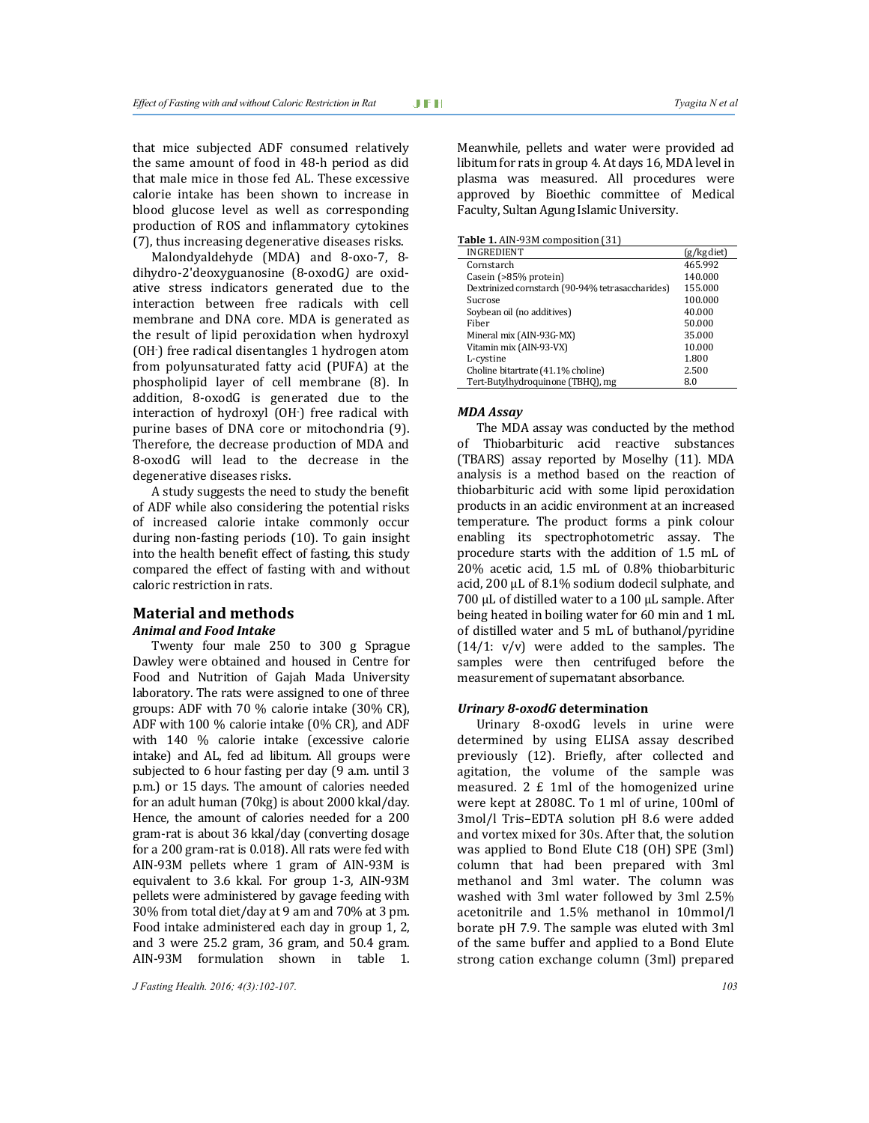that mice subjected ADF consumed relatively the same amount of food in 48-h period as did that male mice in those fed AL. These excessive calorie intake has been shown to increase in blood glucose level as well as corresponding production of ROS and inflammatory cytokines (7), thus increasing degenerative diseases risks.

Malondyaldehyde (MDA) and 8-oxo-7, 8 dihydro-2'deoxyguanosine (8-oxodG*)* are oxidative stress indicators generated due to the interaction between free radicals with cell membrane and DNA core. MDA is generated as the result of lipid peroxidation when hydroxyl (OH- ) free radical disentangles 1 hydrogen atom from polyunsaturated fatty acid (PUFA) at the phospholipid layer of cell membrane (8). In addition, 8-oxodG is generated due to the interaction of hydroxyl (OH- ) free radical with purine bases of DNA core or mitochondria (9). Therefore, the decrease production of MDA and 8-oxodG will lead to the decrease in the degenerative diseases risks.

A study suggests the need to study the benefit of ADF while also considering the potential risks of increased calorie intake commonly occur during non-fasting periods (10). To gain insight into the health benefit effect of fasting, this study compared the effect of fasting with and without caloric restriction in rats.

### **Material and methods** *Animal and Food Intake*

Twenty four male 250 to 300 g Sprague Dawley were obtained and housed in Centre for Food and Nutrition of Gajah Mada University laboratory. The rats were assigned to one of three groups: ADF with 70 % calorie intake (30% CR), ADF with 100 % calorie intake (0% CR), and ADF with 140 % calorie intake (excessive calorie intake) and AL, fed ad libitum. All groups were subjected to 6 hour fasting per day (9 a.m. until 3 p.m.) or 15 days. The amount of calories needed for an adult human (70kg) is about 2000 kkal/day. Hence, the amount of calories needed for a 200 gram-rat is about 36 kkal/day (converting dosage for a 200 gram-rat is 0.018). All rats were fed with AIN-93M pellets where 1 gram of AIN-93M is equivalent to 3.6 kkal. For group 1-3, AIN-93M pellets were administered by gavage feeding with 30% from total diet/day at 9 am and 70% at 3 pm. Food intake administered each day in group 1, 2, and 3 were 25.2 gram, 36 gram, and 50.4 gram. AIN-93M formulation shown in table 1.

*J Fasting Health. 2016; 4(3):102-107. 103*

Meanwhile, pellets and water were provided ad libitum for rats in group 4. At days 16, MDA level in plasma was measured. All procedures were approved by Bioethic committee of Medical Faculty, Sultan Agung Islamic University.

**Table 1.** AIN-93M composition (31)

| <b>INGREDIENT</b>                                | (g/kg diet) |
|--------------------------------------------------|-------------|
| Cornstarch                                       | 465.992     |
| Casein (>85% protein)                            | 140.000     |
| Dextrinized cornstarch (90-94% tetrasaccharides) | 155.000     |
| Sucrose                                          | 100.000     |
| Soybean oil (no additives)                       | 40.000      |
| Fiber                                            | 50.000      |
| Mineral mix (AIN-93G-MX)                         | 35.000      |
| Vitamin mix (AIN-93-VX)                          | 10.000      |
| L-cystine                                        | 1.800       |
| Choline bitartrate (41.1% choline)               | 2.500       |
| Tert-Butylhydroquinone (TBHO), mg                | 8.0         |

#### *MDA Assay*

The MDA assay was conducted by the method of Thiobarbituric acid reactive substances (TBARS) assay reported by Moselhy (11). MDA analysis is a method based on the reaction of thiobarbituric acid with some lipid peroxidation products in an acidic environment at an increased temperature. The product forms a pink colour enabling its spectrophotometric assay. The procedure starts with the addition of 1.5 mL of 20% acetic acid, 1.5 mL of 0.8% thiobarbituric acid, 200 µL of 8.1% sodium dodecil sulphate, and 700 µL of distilled water to a 100 µL sample. After being heated in boiling water for 60 min and 1 mL of distilled water and 5 mL of buthanol/pyridine  $(14/1: v/v)$  were added to the samples. The samples were then centrifuged before the measurement of supernatant absorbance.

#### *Urinary 8***-***oxodG* **determination**

Urinary 8-oxodG levels in urine were determined by using ELISA assay described previously (12). Briefly, after collected and agitation, the volume of the sample was measured. 2 £ 1ml of the homogenized urine were kept at 2808C. To 1 ml of urine, 100ml of 3mol/l Tris–EDTA solution pH 8.6 were added and vortex mixed for 30s. After that, the solution was applied to Bond Elute C18 (OH) SPE (3ml) column that had been prepared with 3ml methanol and 3ml water. The column was washed with 3ml water followed by 3ml 2.5% acetonitrile and 1.5% methanol in 10mmol/l borate pH 7.9. The sample was eluted with 3ml of the same buffer and applied to a Bond Elute strong cation exchange column (3ml) prepared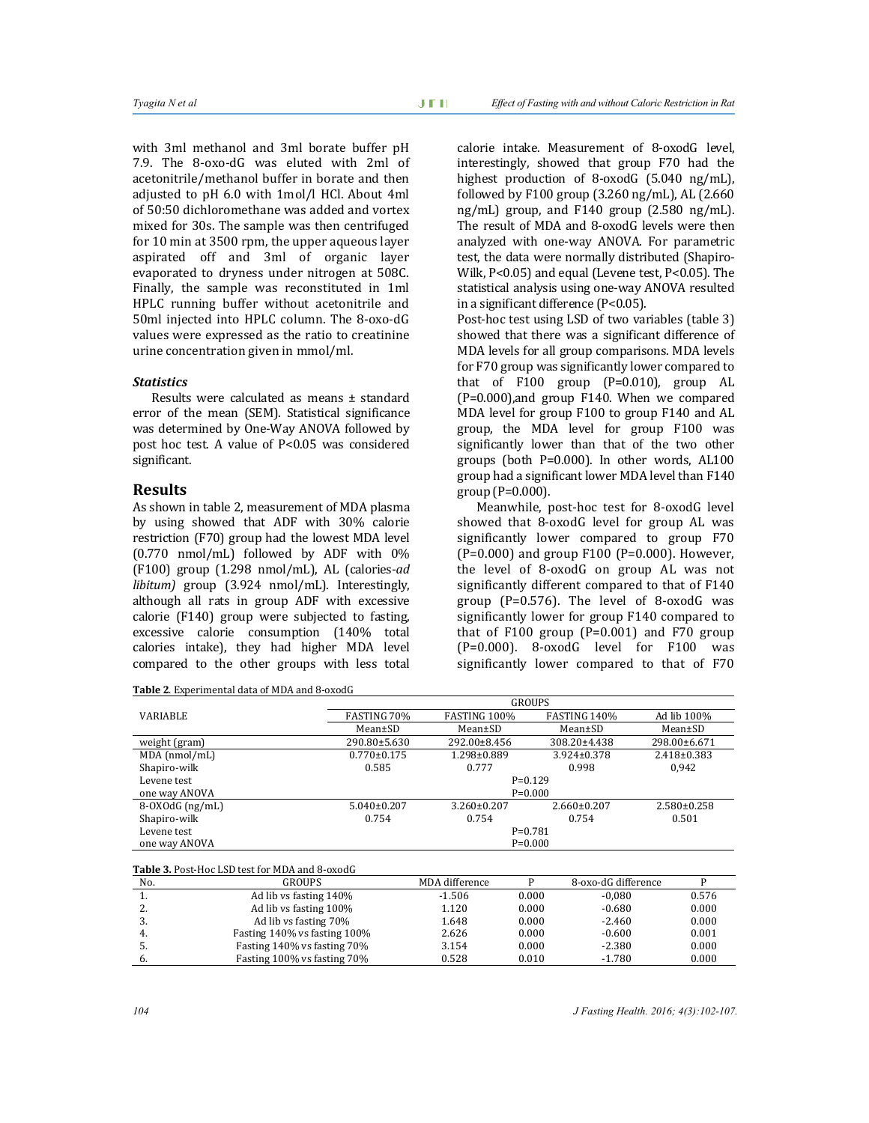with 3ml methanol and 3ml borate buffer pH 7.9. The 8-oxo-dG was eluted with 2ml of acetonitrile/methanol buffer in borate and then adjusted to pH 6.0 with 1mol/l HCl. About 4ml of 50:50 dichloromethane was added and vortex mixed for 30s. The sample was then centrifuged for 10 min at 3500 rpm, the upper aqueous layer aspirated off and 3ml of organic layer evaporated to dryness under nitrogen at 508C. Finally, the sample was reconstituted in 1ml HPLC running buffer without acetonitrile and 50ml injected into HPLC column. The 8-oxo-dG values were expressed as the ratio to creatinine urine concentration given in mmol/ml.

#### *Statistics*

Results were calculated as means ± standard error of the mean (SEM). Statistical significance was determined by One-Way ANOVA followed by post hoc test. A value of P<0.05 was considered significant.

## **Results**

As shown in table 2, measurement of MDA plasma by using showed that ADF with 30% calorie restriction (F70) group had the lowest MDA level (0.770 nmol/mL) followed by ADF with 0% (F100) group (1.298 nmol/mL), AL (calories-*ad libitum)* group (3.924 nmol/mL). Interestingly, although all rats in group ADF with excessive calorie (F140) group were subjected to fasting, excessive calorie consumption (140% total calories intake), they had higher MDA level compared to the other groups with less total

**Table 2**. Experimental data of MDA and 8-oxodG

calorie intake. Measurement of 8-oxodG level, interestingly, showed that group F70 had the highest production of 8-oxodG (5.040 ng/mL), followed by F100 group (3.260 ng/mL), AL (2.660 ng/mL) group, and F140 group (2.580 ng/mL). The result of MDA and 8-oxodG levels were then analyzed with one-way ANOVA. For parametric test, the data were normally distributed (Shapiro-Wilk, P<0.05) and equal (Levene test, P<0.05). The statistical analysis using one-way ANOVA resulted in a significant difference (P<0.05).

Post-hoc test using LSD of two variables (table 3) showed that there was a significant difference of MDA levels for all group comparisons. MDA levels for F70 group was significantly lower compared to that of F100 group (P=0.010), group AL (P=0.000),and group F140. When we compared MDA level for group F100 to group F140 and AL group, the MDA level for group F100 was significantly lower than that of the two other groups (both P=0.000). In other words, AL100 group had a significant lower MDA level than F140 group (P=0.000).

Meanwhile, post-hoc test for 8-oxodG level showed that 8-oxodG level for group AL was significantly lower compared to group F70  $(P=0.000)$  and group F100 (P=0.000). However, the level of 8-oxodG on group AL was not significantly different compared to that of F140 group (P=0.576). The level of 8-oxodG was significantly lower for group F140 compared to that of F100 group  $(P=0.001)$  and F70 group  $(P=0.000)$ . 8-oxodG level for F100 was significantly lower compared to that of F70

|                                                       |                        | <b>GROUPS</b>     |               |                                        |       |  |  |
|-------------------------------------------------------|------------------------|-------------------|---------------|----------------------------------------|-------|--|--|
| <b>VARIABLE</b>                                       | FASTING 70%            | FASTING 100%      | FASTING 140%  | Ad lib 100%                            |       |  |  |
|                                                       | $Mean \pm SD$          | $Mean \pm SD$     | $Mean \pm SD$ | $Mean \pm SD$                          |       |  |  |
| weight (gram)                                         | 290.80±5.630           | 292.00±8.456      | 308.20±4.438  | 298.00±6.671                           |       |  |  |
| MDA (nmol/mL)                                         | $0.770 \pm 0.175$      | 1.298±0.889       | 3.924±0.378   | $2.418 \pm 0.383$                      |       |  |  |
| Shapiro-wilk                                          | 0.585                  | 0.777             | 0.998         |                                        | 0.942 |  |  |
| Levene test                                           |                        | $P=0.129$         |               |                                        |       |  |  |
| one way ANOVA                                         |                        | $P=0.000$         |               |                                        |       |  |  |
| $8-0X0dG$ (ng/mL)                                     | $5.040 \pm 0.207$      | $3.260 \pm 0.207$ |               | $2.660 \pm 0.207$<br>$2.580 \pm 0.258$ |       |  |  |
| Shapiro-wilk                                          | 0.754                  | 0.754             | 0.754         | 0.501                                  |       |  |  |
| Levene test                                           |                        | $P=0.781$         |               |                                        |       |  |  |
| one way ANOVA                                         |                        | $P=0.000$         |               |                                        |       |  |  |
|                                                       |                        |                   |               |                                        |       |  |  |
| <b>Table 3. Post-Hoc LSD test for MDA and 8-oxodG</b> |                        |                   |               |                                        |       |  |  |
| No.                                                   | <b>GROUPS</b>          | MDA difference    | P             | 8-oxo-dG difference                    | P     |  |  |
| 1.                                                    | Ad lib vs fasting 140% | $-1.506$          | 0.000         | $-0.080$                               | 0.576 |  |  |
| 2.                                                    | Ad lib vs fasting 100% | 1.120             | 0.000         | $-0.680$                               | 0.000 |  |  |

| <b>.</b> | Ad lib vs fasting 140%       | $-1.506$ | 0.000 | $-0.080$ | 0.576 |
|----------|------------------------------|----------|-------|----------|-------|
| <u>.</u> | Ad lib vs fasting 100%       | 1.120    | 0.000 | $-0.680$ | 0.000 |
| .        | Ad lib vs fasting 70%        | 1.648    | 0.000 | $-2.460$ | 0.000 |
|          | Fasting 140% vs fasting 100% | 2.626    | 0.000 | $-0.600$ | 0.001 |
| .        | Fasting 140% vs fasting 70%  | 3.154    | 0.000 | $-2.380$ | 0.000 |
|          | Fasting 100% vs fasting 70%  | 0.528    | 0.010 | $-1.780$ | 0.000 |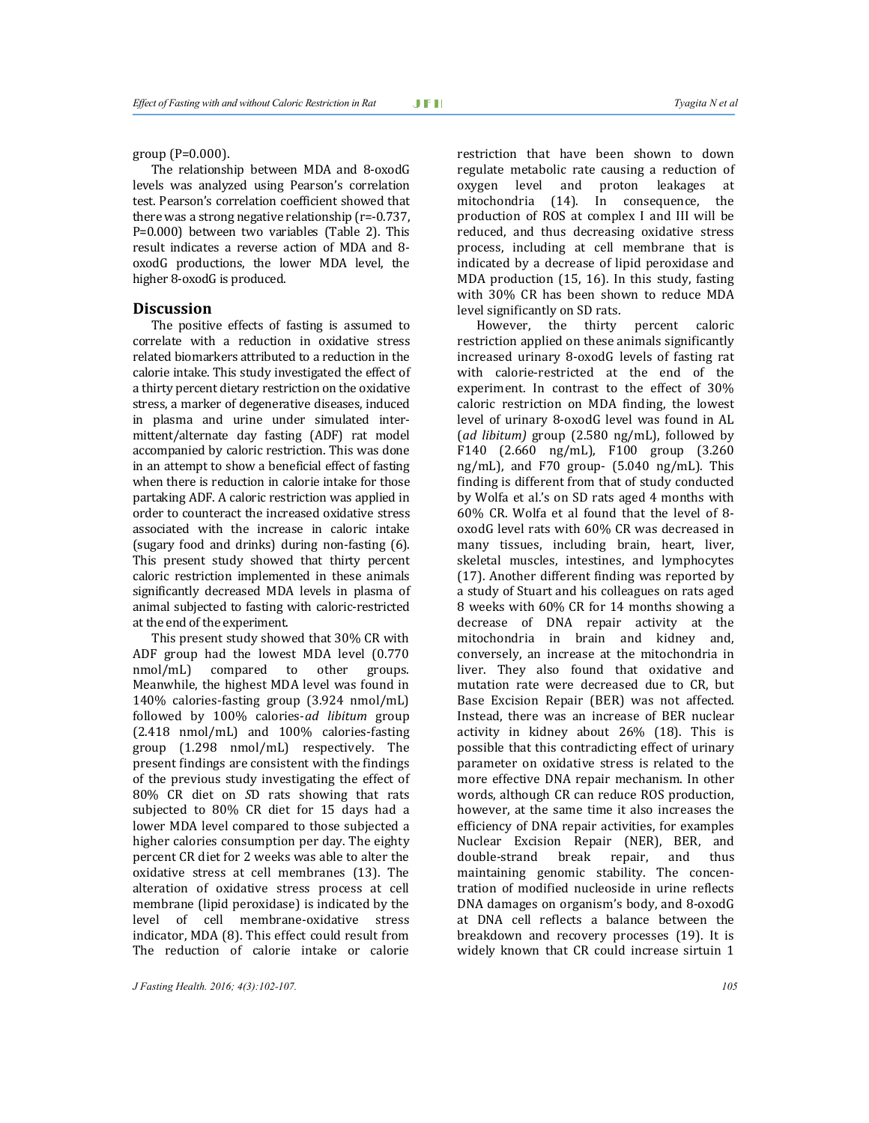group (P=0.000).

The relationship between MDA and 8-oxodG levels was analyzed using Pearson's correlation test. Pearson's correlation coefficient showed that there was a strong negative relationship (r=-0.737, P=0.000) between two variables (Table 2). This result indicates a reverse action of MDA and 8 oxodG productions, the lower MDA level, the higher 8-oxodG is produced.

#### **Discussion**

The positive effects of fasting is assumed to correlate with a reduction in oxidative stress related biomarkers attributed to a reduction in the calorie intake. This study investigated the effect of a thirty percent dietary restriction on the oxidative stress, a marker of degenerative diseases, induced in plasma and urine under simulated intermittent/alternate day fasting (ADF) rat model accompanied by caloric restriction. This was done in an attempt to show a beneficial effect of fasting when there is reduction in calorie intake for those partaking ADF. A caloric restriction was applied in order to counteract the increased oxidative stress associated with the increase in caloric intake (sugary food and drinks) during non-fasting (6). This present study showed that thirty percent caloric restriction implemented in these animals significantly decreased MDA levels in plasma of animal subjected to fasting with caloric-restricted at the end of the experiment.

This present study showed that 30% CR with ADF group had the lowest MDA level (0.770 nmol/mL) compared to other groups. Meanwhile, the highest MDA level was found in 140% calories-fasting group (3.924 nmol/mL) followed by 100% calories-*ad libitum* group (2.418 nmol/mL) and 100% calories-fasting group (1.298 nmol/mL) respectively. The present findings are consistent with the findings of the previous study investigating the effect of 80% CR diet on *S*D rats showing that rats subjected to 80% CR diet for 15 days had a lower MDA level compared to those subjected a higher calories consumption per day. The eighty percent CR diet for 2 weeks was able to alter the oxidative stress at cell membranes (13). The alteration of oxidative stress process at cell membrane (lipid peroxidase) is indicated by the level of cell membrane-oxidative stress indicator, MDA (8). This effect could result from The reduction of calorie intake or calorie

*J Fasting Health. 2016; 4(3):102-107. 105*

restriction that have been shown to down regulate metabolic rate causing a reduction of oxygen level and proton leakages at mitochondria (14). In consequence, the production of ROS at complex I and III will be reduced, and thus decreasing oxidative stress process, including at cell membrane that is indicated by a decrease of lipid peroxidase and MDA production (15, 16). In this study, fasting with 30% CR has been shown to reduce MDA level significantly on SD rats.

However, the thirty percent caloric restriction applied on these animals significantly increased urinary 8-oxodG levels of fasting rat with calorie-restricted at the end of the experiment. In contrast to the effect of 30% caloric restriction on MDA finding, the lowest level of urinary 8-oxodG level was found in AL (*ad libitum)* group (2.580 ng/mL), followed by F140 (2.660 ng/mL), F100 group (3.260 ng/mL), and F70 group- (5.040 ng/mL). This finding is different from that of study conducted by Wolfa et al.'s on SD rats aged 4 months with 60% CR. Wolfa et al found that the level of 8 oxodG level rats with 60% CR was decreased in many tissues, including brain, heart, liver, skeletal muscles, intestines, and lymphocytes (17). Another different finding was reported by a study of Stuart and his colleagues on rats aged 8 weeks with 60% CR for 14 months showing a decrease of DNA repair activity at the mitochondria in brain and kidney and, conversely, an increase at the mitochondria in liver. They also found that oxidative and mutation rate were decreased due to CR, but Base Excision Repair (BER) was not affected. Instead, there was an increase of BER nuclear activity in kidney about 26% (18). This is possible that this contradicting effect of urinary parameter on oxidative stress is related to the more effective DNA repair mechanism. In other words, although CR can reduce ROS production, however, at the same time it also increases the efficiency of DNA repair activities, for examples Nuclear Excision Repair (NER), BER, and double-strand break repair, and thus maintaining genomic stability. The concentration of modified nucleoside in urine reflects DNA damages on organism's body, and 8-oxodG at DNA cell reflects a balance between the breakdown and recovery processes (19). It is widely known that CR could increase sirtuin 1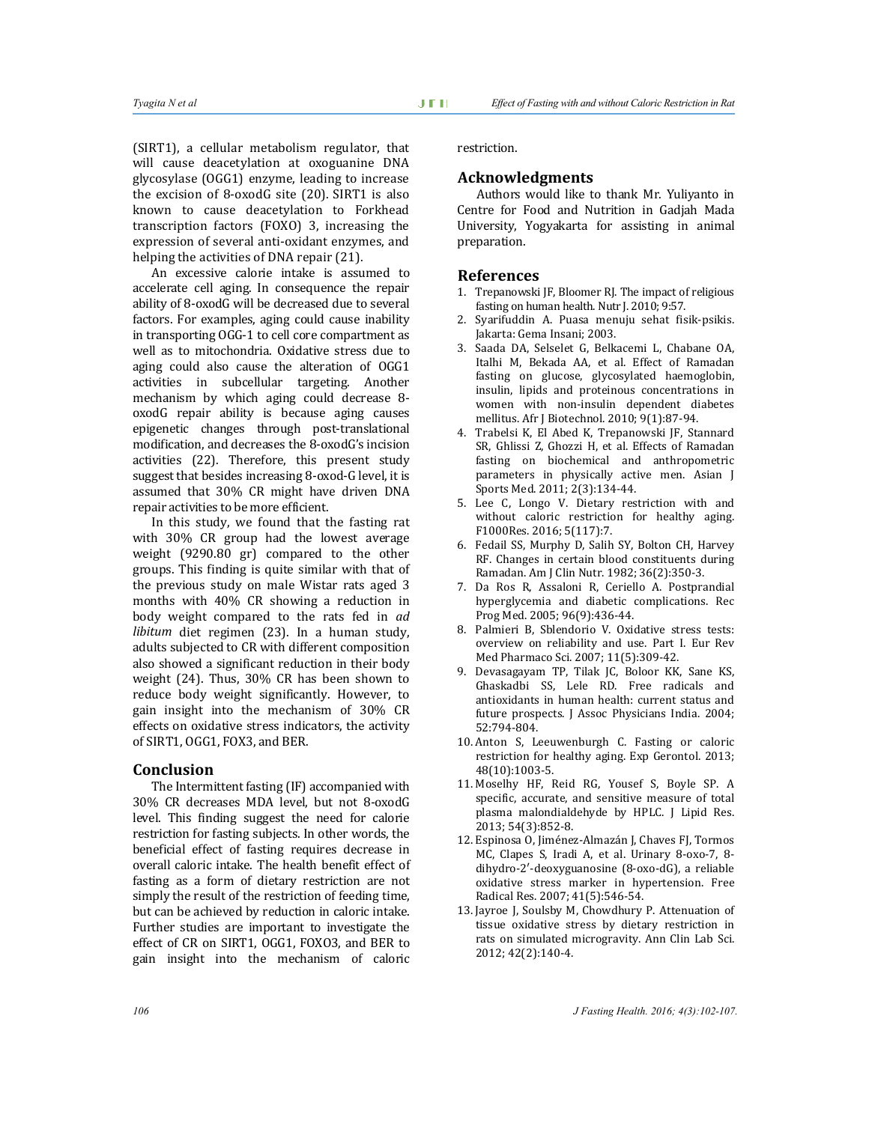(SIRT1), a cellular metabolism regulator, that will cause deacetylation at oxoguanine DNA glycosylase (OGG1) enzyme, leading to increase the excision of 8-oxodG site (20). SIRT1 is also known to cause deacetylation to Forkhead transcription factors (FOXO) 3, increasing the expression of several anti-oxidant enzymes, and helping the activities of DNA repair (21).

An excessive calorie intake is assumed to accelerate cell aging. In consequence the repair ability of 8-oxodG will be decreased due to several factors. For examples, aging could cause inability in transporting OGG-1 to cell core compartment as well as to mitochondria. Oxidative stress due to aging could also cause the alteration of OGG1 activities in subcellular targeting. Another mechanism by which aging could decrease 8 oxodG repair ability is because aging causes epigenetic changes through post-translational modification, and decreases the 8-oxodG's incision activities (22). Therefore, this present study suggest that besides increasing 8-oxod-G level, it is assumed that 30% CR might have driven DNA repair activities to be more efficient.

In this study, we found that the fasting rat with 30% CR group had the lowest average weight (9290.80 gr) compared to the other groups. This finding is quite similar with that of the previous study on male Wistar rats aged 3 months with 40% CR showing a reduction in body weight compared to the rats fed in *ad libitum* diet regimen (23). In a human study, adults subjected to CR with different composition also showed a significant reduction in their body weight (24). Thus, 30% CR has been shown to reduce body weight significantly. However, to gain insight into the mechanism of 30% CR effects on oxidative stress indicators, the activity of SIRT1, OGG1, FOX3, and BER.

#### **Conclusion**

The Intermittent fasting (IF) accompanied with 30% CR decreases MDA level, but not 8-oxodG level. This finding suggest the need for calorie restriction for fasting subjects. In other words, the beneficial effect of fasting requires decrease in overall caloric intake. The health benefit effect of fasting as a form of dietary restriction are not simply the result of the restriction of feeding time, but can be achieved by reduction in caloric intake. Further studies are important to investigate the effect of CR on SIRT1, OGG1, FOXO3, and BER to gain insight into the mechanism of caloric

restriction.

#### **Acknowledgments**

Authors would like to thank Mr. Yuliyanto in Centre for Food and Nutrition in Gadjah Mada University, Yogyakarta for assisting in animal preparation.

#### **References**

- 1. Trepanowski JF, Bloomer RJ. The impact of religious fasting on human health. Nutr J. 2010; 9:57.
- 2. Syarifuddin A. Puasa menuju sehat fisik-psikis. Jakarta: Gema Insani; 2003.
- 3. Saada DA, Selselet G, Belkacemi L, Chabane OA, Italhi M, Bekada AA, et al. Effect of Ramadan fasting on glucose, glycosylated haemoglobin, insulin, lipids and proteinous concentrations in women with non-insulin dependent diabetes mellitus. Afr J Biotechnol. 2010; 9(1):87-94.
- 4. Trabelsi K, El Abed K, Trepanowski JF, Stannard SR, Ghlissi Z, Ghozzi H, et al. Effects of Ramadan fasting on biochemical and anthropometric parameters in physically active men. Asian J Sports Med. 2011; 2(3):134-44.
- 5. Lee C, Longo V. Dietary restriction with and without caloric restriction for healthy aging. F1000Res. 2016; 5(117):7.
- 6. Fedail SS, Murphy D, Salih SY, Bolton CH, Harvey RF. Changes in certain blood constituents during Ramadan. Am J Clin Nutr. 1982; 36(2):350-3.
- 7. Da Ros R, Assaloni R, Ceriello A. Postprandial hyperglycemia and diabetic complications. Rec Prog Med. 2005; 96(9):436-44.
- 8. Palmieri B, Sblendorio V. Oxidative stress tests: overview on reliability and use. Part I. Eur Rev Med Pharmaco Sci. 2007; 11(5):309-42.
- 9. Devasagayam TP, Tilak JC, Boloor KK, Sane KS, Ghaskadbi SS, Lele RD. Free radicals and antioxidants in human health: current status and future prospects. J Assoc Physicians India. 2004; 52:794-804.
- 10. Anton S, Leeuwenburgh C. Fasting or caloric restriction for healthy aging. Exp Gerontol. 2013; 48(10):1003-5.
- 11. Moselhy HF, Reid RG, Yousef S, Boyle SP. A specific, accurate, and sensitive measure of total plasma malondialdehyde by HPLC. J Lipid Res. 2013; 54(3):852-8.
- 12. Espinosa O, Jiménez-Almazán J, Chaves FJ, Tormos MC, Clapes S, Iradi A, et al. Urinary 8-oxo-7, 8 dihydro-2′-deoxyguanosine (8-oxo-dG), a reliable oxidative stress marker in hypertension. Free Radical Res. 2007; 41(5):546-54.
- 13. Jayroe J, Soulsby M, Chowdhury P. Attenuation of tissue oxidative stress by dietary restriction in rats on simulated microgravity. Ann Clin Lab Sci. 2012; 42(2):140-4.